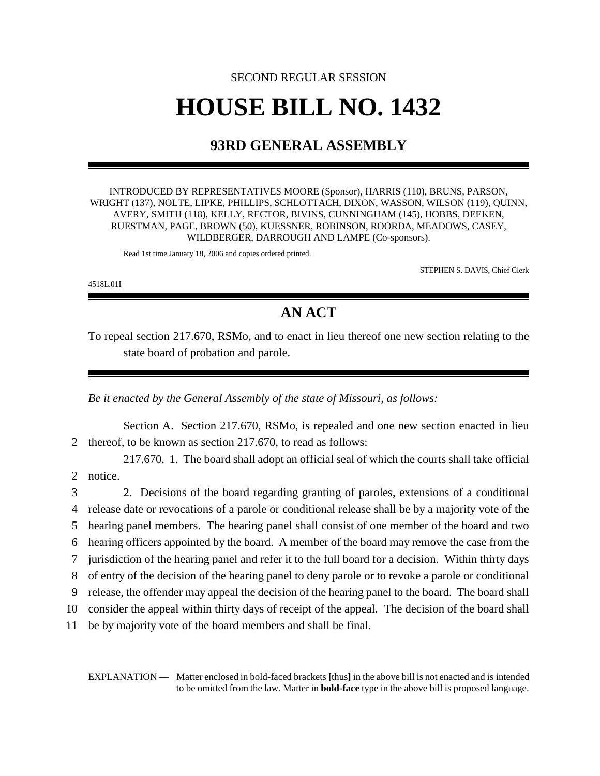## SECOND REGULAR SESSION **HOUSE BILL NO. 1432**

## **93RD GENERAL ASSEMBLY**

INTRODUCED BY REPRESENTATIVES MOORE (Sponsor), HARRIS (110), BRUNS, PARSON, WRIGHT (137), NOLTE, LIPKE, PHILLIPS, SCHLOTTACH, DIXON, WASSON, WILSON (119), QUINN, AVERY, SMITH (118), KELLY, RECTOR, BIVINS, CUNNINGHAM (145), HOBBS, DEEKEN, RUESTMAN, PAGE, BROWN (50), KUESSNER, ROBINSON, ROORDA, MEADOWS, CASEY, WILDBERGER, DARROUGH AND LAMPE (Co-sponsors).

Read 1st time January 18, 2006 and copies ordered printed.

STEPHEN S. DAVIS, Chief Clerk

4518L.01I

## **AN ACT**

To repeal section 217.670, RSMo, and to enact in lieu thereof one new section relating to the state board of probation and parole.

*Be it enacted by the General Assembly of the state of Missouri, as follows:*

Section A. Section 217.670, RSMo, is repealed and one new section enacted in lieu 2 thereof, to be known as section 217.670, to read as follows:

217.670. 1. The board shall adopt an official seal of which the courts shall take official 2 notice.

 2. Decisions of the board regarding granting of paroles, extensions of a conditional release date or revocations of a parole or conditional release shall be by a majority vote of the hearing panel members. The hearing panel shall consist of one member of the board and two hearing officers appointed by the board. A member of the board may remove the case from the jurisdiction of the hearing panel and refer it to the full board for a decision. Within thirty days of entry of the decision of the hearing panel to deny parole or to revoke a parole or conditional release, the offender may appeal the decision of the hearing panel to the board. The board shall consider the appeal within thirty days of receipt of the appeal. The decision of the board shall be by majority vote of the board members and shall be final.

EXPLANATION — Matter enclosed in bold-faced brackets **[**thus**]** in the above bill is not enacted and is intended to be omitted from the law. Matter in **bold-face** type in the above bill is proposed language.